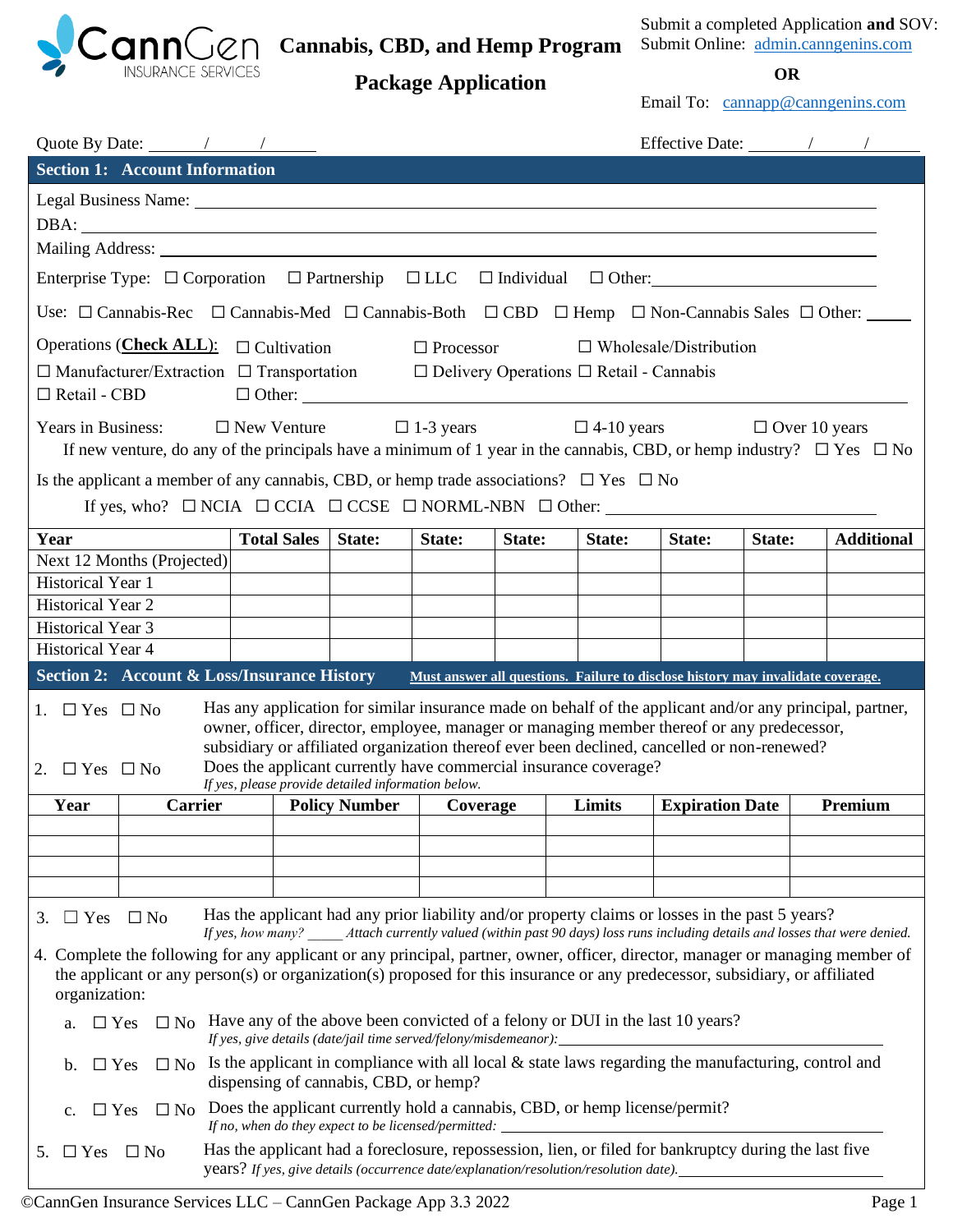

**Cannabis, CBD, and Hemp Program**

Submit a completed Application **and** SOV: Submit Online: [admin.canngenins.com](https://www.canngenins.com/)

**Package Application OR**

Email To: [cannapp@canngenins.com](mailto:cannapp@canngenins.com)

|                                                    | Quote By Date: $\frac{\sqrt{2}}{2}$                                                                                                                                                                                                                                                                                                                                                                                                                              |                    |                                                                  |                  |        |                                                                                         |                                                                                                                                                                                           |                      |                                                                                                                                |
|----------------------------------------------------|------------------------------------------------------------------------------------------------------------------------------------------------------------------------------------------------------------------------------------------------------------------------------------------------------------------------------------------------------------------------------------------------------------------------------------------------------------------|--------------------|------------------------------------------------------------------|------------------|--------|-----------------------------------------------------------------------------------------|-------------------------------------------------------------------------------------------------------------------------------------------------------------------------------------------|----------------------|--------------------------------------------------------------------------------------------------------------------------------|
|                                                    | <b>Section 1: Account Information</b>                                                                                                                                                                                                                                                                                                                                                                                                                            |                    |                                                                  |                  |        |                                                                                         |                                                                                                                                                                                           |                      |                                                                                                                                |
|                                                    | Legal Business Name: 1986. Manne 2008. The Mannesotal Science of the Mannesota Communication of the Mannesota Communication of the Mannesota Communication of the Mannesota Communication of the Mannesota Communication of th<br>Mailing Address: National Address: National Address: National Address: National Address: National Address: National Address: National Address: National Address: National Address: National Address: National Address: Nationa |                    |                                                                  |                  |        |                                                                                         |                                                                                                                                                                                           |                      |                                                                                                                                |
|                                                    | Enterprise Type: $\Box$ Corporation $\Box$ Partnership $\Box$ LLC $\Box$ Individual $\Box$ Other:                                                                                                                                                                                                                                                                                                                                                                |                    |                                                                  |                  |        |                                                                                         |                                                                                                                                                                                           |                      |                                                                                                                                |
|                                                    | Use: $\Box$ Cannabis-Rec $\Box$ Cannabis-Med $\Box$ Cannabis-Both $\Box$ CBD $\Box$ Hemp $\Box$ Non-Cannabis Sales $\Box$ Other:                                                                                                                                                                                                                                                                                                                                 |                    |                                                                  |                  |        |                                                                                         |                                                                                                                                                                                           |                      |                                                                                                                                |
|                                                    | Operations (Check ALL): $\Box$ Cultivation                                                                                                                                                                                                                                                                                                                                                                                                                       |                    |                                                                  | $\Box$ Processor |        |                                                                                         | $\Box$ Wholesale/Distribution                                                                                                                                                             |                      |                                                                                                                                |
| $\Box$ Retail - CBD                                | $\Box$ Manufacturer/Extraction $\Box$ Transportation $\Box$ Delivery Operations $\Box$ Retail - Cannabis                                                                                                                                                                                                                                                                                                                                                         |                    |                                                                  |                  |        |                                                                                         |                                                                                                                                                                                           |                      |                                                                                                                                |
|                                                    | Years in Business: $\square$ New Venture                                                                                                                                                                                                                                                                                                                                                                                                                         |                    |                                                                  |                  |        |                                                                                         | $\Box$ 1-3 years $\Box$ 4-10 years                                                                                                                                                        | $\Box$ Over 10 years | If new venture, do any of the principals have a minimum of 1 year in the cannabis, CBD, or hemp industry? $\Box$ Yes $\Box$ No |
|                                                    | Is the applicant a member of any cannabis, CBD, or hemp trade associations? $\square$ Yes $\square$ No<br>If yes, who? $\Box$ NCIA $\Box$ CCIA $\Box$ CCSE $\Box$ NORML-NBN $\Box$ Other:                                                                                                                                                                                                                                                                        |                    |                                                                  |                  |        |                                                                                         |                                                                                                                                                                                           |                      |                                                                                                                                |
| Year                                               |                                                                                                                                                                                                                                                                                                                                                                                                                                                                  | <b>Total Sales</b> | State:                                                           |                  | State: |                                                                                         | State:                                                                                                                                                                                    | State:               | <b>Additional</b>                                                                                                              |
|                                                    | Next 12 Months (Projected)                                                                                                                                                                                                                                                                                                                                                                                                                                       |                    |                                                                  | State:           |        | State:                                                                                  |                                                                                                                                                                                           |                      |                                                                                                                                |
| Historical Year 1                                  |                                                                                                                                                                                                                                                                                                                                                                                                                                                                  |                    |                                                                  |                  |        |                                                                                         |                                                                                                                                                                                           |                      |                                                                                                                                |
| <b>Historical Year 2</b>                           |                                                                                                                                                                                                                                                                                                                                                                                                                                                                  |                    |                                                                  |                  |        |                                                                                         |                                                                                                                                                                                           |                      |                                                                                                                                |
| <b>Historical Year 3</b>                           |                                                                                                                                                                                                                                                                                                                                                                                                                                                                  |                    |                                                                  |                  |        |                                                                                         |                                                                                                                                                                                           |                      |                                                                                                                                |
| <b>Historical Year 4</b>                           |                                                                                                                                                                                                                                                                                                                                                                                                                                                                  |                    |                                                                  |                  |        |                                                                                         |                                                                                                                                                                                           |                      |                                                                                                                                |
|                                                    | <b>Section 2: Account &amp; Loss/Insurance History</b>                                                                                                                                                                                                                                                                                                                                                                                                           |                    |                                                                  |                  |        |                                                                                         | Must answer all questions. Failure to disclose history may invalidate coverage.                                                                                                           |                      |                                                                                                                                |
| 1. $\Box$ Yes $\Box$ No<br>2. $\Box$ Yes $\Box$ No |                                                                                                                                                                                                                                                                                                                                                                                                                                                                  |                    | If yes, please provide detailed information below.               |                  |        | Does the applicant currently have commercial insurance coverage?                        | owner, officer, director, employee, manager or managing member thereof or any predecessor,<br>subsidiary or affiliated organization thereof ever been declined, cancelled or non-renewed? |                      | Has any application for similar insurance made on behalf of the applicant and/or any principal, partner,                       |
| Year                                               | <b>Carrier</b>                                                                                                                                                                                                                                                                                                                                                                                                                                                   |                    | Policy Number   Coverage                                         |                  |        | Limits                                                                                  | <b>Expiration Date</b>                                                                                                                                                                    |                      | Premium                                                                                                                        |
|                                                    |                                                                                                                                                                                                                                                                                                                                                                                                                                                                  |                    |                                                                  |                  |        |                                                                                         |                                                                                                                                                                                           |                      |                                                                                                                                |
|                                                    |                                                                                                                                                                                                                                                                                                                                                                                                                                                                  |                    |                                                                  |                  |        |                                                                                         |                                                                                                                                                                                           |                      |                                                                                                                                |
|                                                    |                                                                                                                                                                                                                                                                                                                                                                                                                                                                  |                    |                                                                  |                  |        |                                                                                         |                                                                                                                                                                                           |                      |                                                                                                                                |
| 3. $\Box$ Yes $\Box$ No                            |                                                                                                                                                                                                                                                                                                                                                                                                                                                                  |                    |                                                                  |                  |        |                                                                                         | Has the applicant had any prior liability and/or property claims or losses in the past 5 years?                                                                                           |                      | If yes, how many? Attach currently valued (within past 90 days) loss runs including details and losses that were denied.       |
| organization:                                      | the applicant or any person(s) or organization(s) proposed for this insurance or any predecessor, subsidiary, or affiliated                                                                                                                                                                                                                                                                                                                                      |                    |                                                                  |                  |        |                                                                                         |                                                                                                                                                                                           |                      | 4. Complete the following for any applicant or any principal, partner, owner, officer, director, manager or managing member of |
| $\Box$ Yes<br>a.                                   |                                                                                                                                                                                                                                                                                                                                                                                                                                                                  |                    | If yes, give details (date/jail time served/felony/misdemeanor): |                  |        |                                                                                         | $\Box$ No Have any of the above been convicted of a felony or DUI in the last 10 years?                                                                                                   |                      |                                                                                                                                |
| $\Box$ Yes<br>$\mathbf{b}$ .                       |                                                                                                                                                                                                                                                                                                                                                                                                                                                                  |                    | dispensing of cannabis, CBD, or hemp?                            |                  |        |                                                                                         | $\Box$ No Is the applicant in compliance with all local & state laws regarding the manufacturing, control and                                                                             |                      |                                                                                                                                |
| $\Box$ Yes                                         |                                                                                                                                                                                                                                                                                                                                                                                                                                                                  |                    | If no, when do they expect to be licensed/permitted:             |                  |        | $\square$ No Does the applicant currently hold a cannabis, CBD, or hemp license/permit? |                                                                                                                                                                                           |                      |                                                                                                                                |
| $\Box$ Yes<br>5.                                   | $\square$ No                                                                                                                                                                                                                                                                                                                                                                                                                                                     |                    |                                                                  |                  |        | years? If yes, give details (occurrence date/explanation/resolution/resolution date).   | Has the applicant had a foreclosure, repossession, lien, or filed for bankruptcy during the last five                                                                                     |                      |                                                                                                                                |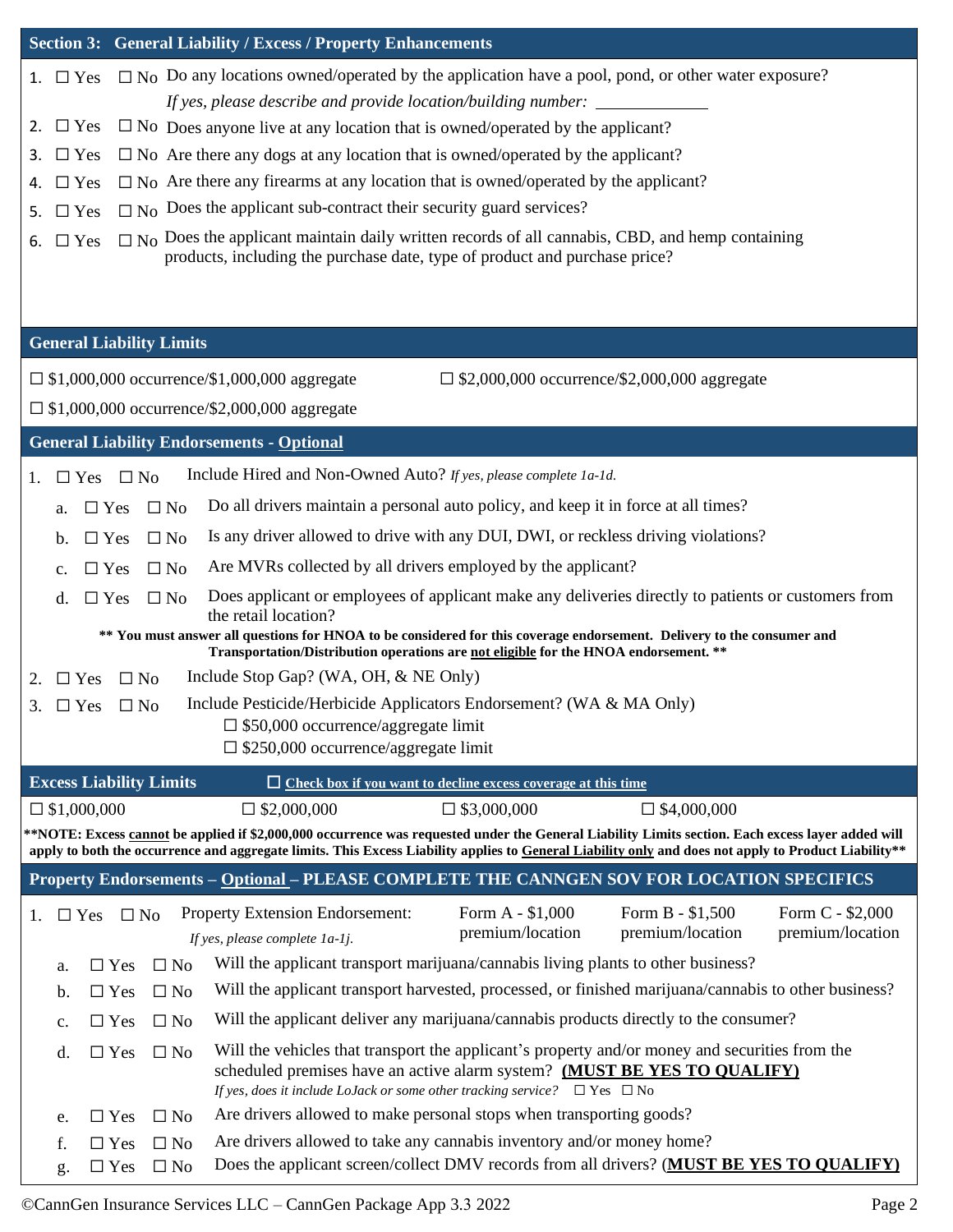|                    |                                 | Section 3: General Liability / Excess / Property Enhancements                                                                                                                                                                                                                                             |                                      |
|--------------------|---------------------------------|-----------------------------------------------------------------------------------------------------------------------------------------------------------------------------------------------------------------------------------------------------------------------------------------------------------|--------------------------------------|
| 1. $\Box$ Yes      |                                 | $\Box$ No Do any locations owned/operated by the application have a pool, pond, or other water exposure?                                                                                                                                                                                                  |                                      |
|                    |                                 | If yes, please describe and provide location/building number:                                                                                                                                                                                                                                             |                                      |
| $\Box$ Yes<br>2.   |                                 | $\square$ No Does anyone live at any location that is owned/operated by the applicant?                                                                                                                                                                                                                    |                                      |
| $\Box$ Yes<br>3.   |                                 | $\square$ No Are there any dogs at any location that is owned/operated by the applicant?                                                                                                                                                                                                                  |                                      |
| $\Box$ Yes<br>4.   |                                 | $\square$ No Are there any firearms at any location that is owned/operated by the applicant?                                                                                                                                                                                                              |                                      |
| $\Box$ Yes<br>5.   |                                 | $\Box$ No Does the applicant sub-contract their security guard services?                                                                                                                                                                                                                                  |                                      |
| $\Box$ Yes<br>6.   |                                 | $\Box$ No Does the applicant maintain daily written records of all cannabis, CBD, and hemp containing<br>products, including the purchase date, type of product and purchase price?                                                                                                                       |                                      |
|                    | <b>General Liability Limits</b> |                                                                                                                                                                                                                                                                                                           |                                      |
|                    |                                 | $\Box$ \$1,000,000 occurrence/\$1,000,000 aggregate<br>$\Box$ \$2,000,000 occurrence/\$2,000,000 aggregate                                                                                                                                                                                                |                                      |
|                    |                                 | $\Box$ \$1,000,000 occurrence/\$2,000,000 aggregate                                                                                                                                                                                                                                                       |                                      |
|                    |                                 |                                                                                                                                                                                                                                                                                                           |                                      |
|                    |                                 | <b>General Liability Endorsements - Optional</b>                                                                                                                                                                                                                                                          |                                      |
| 1.                 | $\Box$ Yes $\Box$ No            | Include Hired and Non-Owned Auto? If yes, please complete 1a-1d.                                                                                                                                                                                                                                          |                                      |
| a.                 | $\Box$ No<br>$\Box$ Yes         | Do all drivers maintain a personal auto policy, and keep it in force at all times?                                                                                                                                                                                                                        |                                      |
| b.                 | $\Box$ No<br>$\Box$ Yes         | Is any driver allowed to drive with any DUI, DWI, or reckless driving violations?                                                                                                                                                                                                                         |                                      |
| c.                 | $\Box$ No<br>$\Box$ Yes         | Are MVRs collected by all drivers employed by the applicant?                                                                                                                                                                                                                                              |                                      |
| d.                 | $\Box$ Yes<br>$\Box$ No         | Does applicant or employees of applicant make any deliveries directly to patients or customers from<br>the retail location?                                                                                                                                                                               |                                      |
|                    |                                 | ** You must answer all questions for HNOA to be considered for this coverage endorsement. Delivery to the consumer and<br>Transportation/Distribution operations are not eligible for the HNOA endorsement. **                                                                                            |                                      |
| $\Box$ Yes<br>2.   | $\Box$ No                       | Include Stop Gap? (WA, OH, & NE Only)                                                                                                                                                                                                                                                                     |                                      |
| $\Box$ Yes<br>3.   | $\square$ No                    | Include Pesticide/Herbicide Applicators Endorsement? (WA & MA Only)                                                                                                                                                                                                                                       |                                      |
|                    |                                 | $\Box$ \$50,000 occurrence/aggregate limit                                                                                                                                                                                                                                                                |                                      |
|                    |                                 | $\Box$ \$250,000 occurrence/aggregate limit                                                                                                                                                                                                                                                               |                                      |
|                    | <b>Excess Liability Limits</b>  | $\Box$ Check box if you want to decline excess coverage at this time                                                                                                                                                                                                                                      |                                      |
| $\Box$ \$1,000,000 |                                 | $\Box$ \$2,000,000<br>$\square$ \$3,000,000<br>$\Box$ \$4,000,000                                                                                                                                                                                                                                         |                                      |
|                    |                                 | **NOTE: Excess cannot be applied if \$2,000,000 occurrence was requested under the General Liability Limits section. Each excess layer added will<br>apply to both the occurrence and aggregate limits. This Excess Liability applies to General Liability only and does not apply to Product Liability** |                                      |
|                    |                                 | Property Endorsements - Optional - PLEASE COMPLETE THE CANNGEN SOV FOR LOCATION SPECIFICS                                                                                                                                                                                                                 |                                      |
| $\Box$ Yes<br>1.   | $\square$ No                    | Form A - \$1,000<br>Form B - \$1,500<br>Property Extension Endorsement:<br>premium/location<br>premium/location<br>If yes, please complete 1a-1j.                                                                                                                                                         | Form C - \$2,000<br>premium/location |
| a.                 | $\Box$ No<br>$\Box$ Yes         | Will the applicant transport marijuana/cannabis living plants to other business?                                                                                                                                                                                                                          |                                      |
| b.                 | $\square$ No<br>$\Box$ Yes      | Will the applicant transport harvested, processed, or finished marijuana/cannabis to other business?                                                                                                                                                                                                      |                                      |
| c.                 | $\square$ No<br>$\Box$ Yes      | Will the applicant deliver any marijuana/cannabis products directly to the consumer?                                                                                                                                                                                                                      |                                      |
| d.                 | $\Box$ No<br>$\Box$ Yes         | Will the vehicles that transport the applicant's property and/or money and securities from the<br>scheduled premises have an active alarm system? (MUST BE YES TO QUALIFY)<br>If yes, does it include LoJack or some other tracking service? $\Box$ Yes $\Box$ No                                         |                                      |
| e.                 | $\square$ No<br>$\Box$ Yes      | Are drivers allowed to make personal stops when transporting goods?                                                                                                                                                                                                                                       |                                      |
| f.                 | $\square$ No<br>$\Box$ Yes      | Are drivers allowed to take any cannabis inventory and/or money home?                                                                                                                                                                                                                                     |                                      |
| g.                 | $\square$ No<br>$\Box$ Yes      | Does the applicant screen/collect DMV records from all drivers? (MUST BE YES TO QUALIFY)                                                                                                                                                                                                                  |                                      |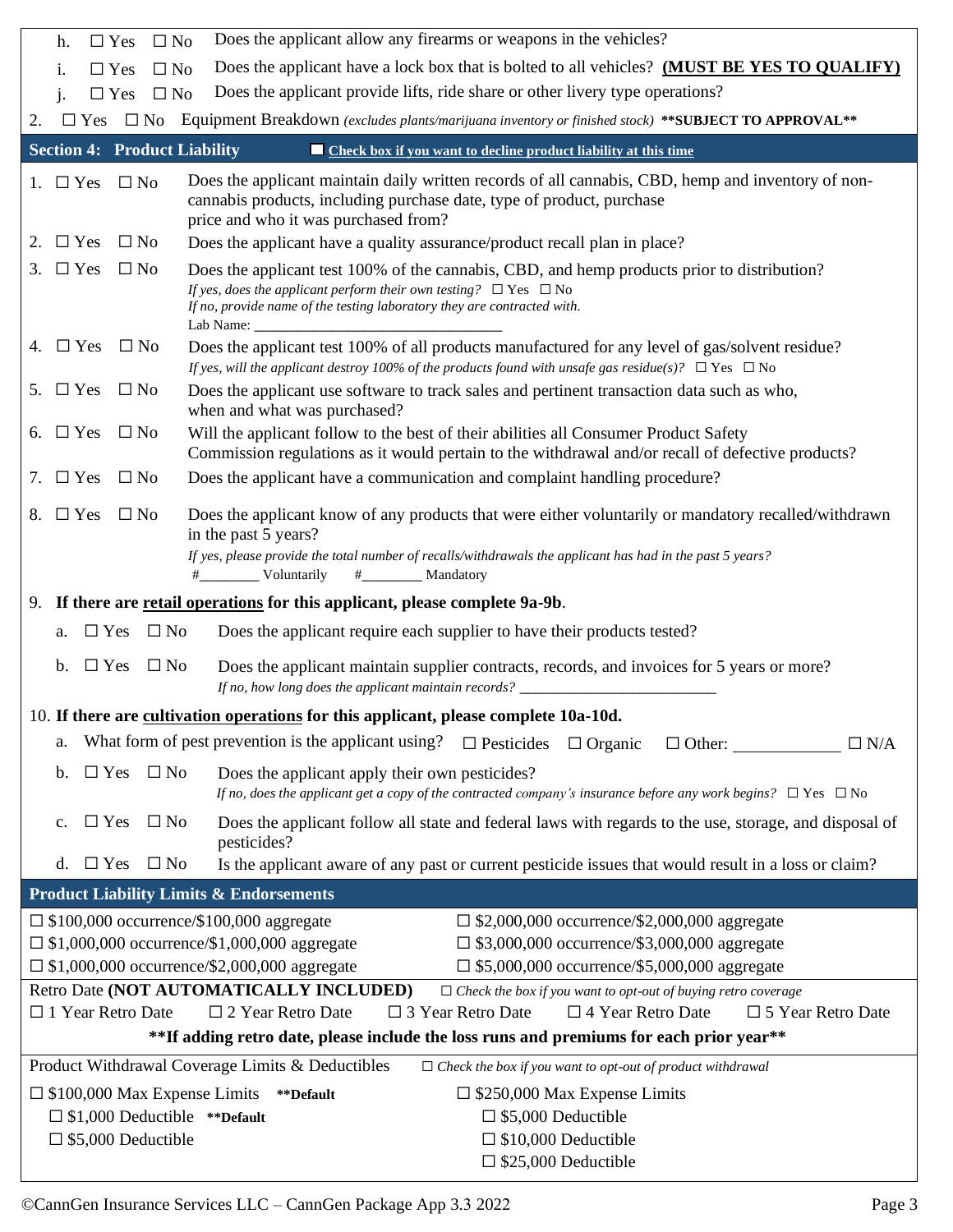| Does the applicant allow any firearms or weapons in the vehicles?<br>$\Box$ No<br>$\Box$ Yes<br>h.                                                                                                                                                                                              |
|-------------------------------------------------------------------------------------------------------------------------------------------------------------------------------------------------------------------------------------------------------------------------------------------------|
| Does the applicant have a lock box that is bolted to all vehicles? (MUST BE YES TO QUALIFY)<br>$\square$ No<br>$\Box$ Yes<br>i.                                                                                                                                                                 |
| Does the applicant provide lifts, ride share or other livery type operations?<br>$\square$ No<br>$\Box$ Yes                                                                                                                                                                                     |
| Equipment Breakdown (excludes plants/marijuana inventory or finished stock) ** SUBJECT TO APPROVAL**<br>$\square$ No<br>$\Box$ Yes<br>2.                                                                                                                                                        |
| <b>Section 4: Product Liability</b><br><b>Example 2</b> Check box if you want to decline product liability at this time                                                                                                                                                                         |
| Does the applicant maintain daily written records of all cannabis, CBD, hemp and inventory of non-<br>$\Box$ No<br>$\Box$ Yes<br>1.<br>cannabis products, including purchase date, type of product, purchase<br>price and who it was purchased from?                                            |
| $\Box$ Yes<br>$\Box$ No<br>Does the applicant have a quality assurance/product recall plan in place?<br>2.                                                                                                                                                                                      |
| 3. $\Box$ Yes<br>$\Box$ No<br>Does the applicant test 100% of the cannabis, CBD, and hemp products prior to distribution?<br>If yes, does the applicant perform their own testing? $\Box$ Yes $\Box$ No<br>If no, provide name of the testing laboratory they are contracted with.<br>Lab Name: |
| 4. $\Box$ Yes<br>$\Box$ No<br>Does the applicant test 100% of all products manufactured for any level of gas/solvent residue?<br>If yes, will the applicant destroy 100% of the products found with unsafe gas residue(s)? $\Box$ Yes $\Box$ No                                                 |
| $\Box$ Yes<br>$\Box$ No<br>Does the applicant use software to track sales and pertinent transaction data such as who,<br>5.<br>when and what was purchased?                                                                                                                                     |
| $\Box$ Yes<br>$\Box$ No<br>Will the applicant follow to the best of their abilities all Consumer Product Safety<br>6.<br>Commission regulations as it would pertain to the withdrawal and/or recall of defective products?                                                                      |
| $\Box$ Yes<br>$\Box$ No<br>Does the applicant have a communication and complaint handling procedure?<br>7.                                                                                                                                                                                      |
| $\Box$ Yes<br>$\Box$ No<br>Does the applicant know of any products that were either voluntarily or mandatory recalled/withdrawn<br>8.<br>in the past 5 years?<br>If yes, please provide the total number of recalls/withdrawals the applicant has had in the past 5 years?<br>Voluntarily       |
| 9. If there are retail operations for this applicant, please complete 9a-9b.                                                                                                                                                                                                                    |
| $\Box$ Yes $\Box$ No<br>Does the applicant require each supplier to have their products tested?<br>a.                                                                                                                                                                                           |
| $\square$ No<br>Does the applicant maintain supplier contracts, records, and invoices for 5 years or more?<br>$\mathbf{b}$ .<br>$\Box$ Yes<br>If no, how long does the applicant maintain records? ______________                                                                               |
| 10. If there are cultivation operations for this applicant, please complete 10a-10d.                                                                                                                                                                                                            |
| What form of pest prevention is the applicant using? $\Box$ Pesticides<br>$\Box$ Organic<br>$\Box$ Other:<br>$\Box$ N/A<br>a.                                                                                                                                                                   |
| $\Box$ Yes $\Box$ No<br>Does the applicant apply their own pesticides?<br>b.<br>If no, does the applicant get a copy of the contracted company's insurance before any work begins? $\Box$ Yes $\Box$ No                                                                                         |
| $\Box$ Yes<br>$\square$ No<br>Does the applicant follow all state and federal laws with regards to the use, storage, and disposal of<br>$\mathbf{c}$ .<br>pesticides?                                                                                                                           |
| d. $\Box$ Yes $\Box$ No<br>Is the applicant aware of any past or current pesticide issues that would result in a loss or claim?                                                                                                                                                                 |
| <b>Product Liability Limits &amp; Endorsements</b>                                                                                                                                                                                                                                              |
| $\Box$ \$100,000 occurrence/\$100,000 aggregate<br>$\Box$ \$2,000,000 occurrence/\$2,000,000 aggregate                                                                                                                                                                                          |
| $\Box$ \$1,000,000 occurrence/\$1,000,000 aggregate<br>$\Box$ \$3,000,000 occurrence/\$3,000,000 aggregate                                                                                                                                                                                      |
| $\Box$ \$1,000,000 occurrence/\$2,000,000 aggregate<br>$\Box$ \$5,000,000 occurrence/\$5,000,000 aggregate                                                                                                                                                                                      |
| Retro Date (NOT AUTOMATICALLY INCLUDED)<br>$\Box$ Check the box if you want to opt-out of buying retro coverage                                                                                                                                                                                 |
| $\Box$ 1 Year Retro Date<br>$\square$ 2 Year Retro Date<br>$\square$ 3 Year Retro Date<br>$\Box$ 4 Year Retro Date<br>$\square$ 5 Year Retro Date<br>**If adding retro date, please include the loss runs and premiums for each prior year**                                                    |
|                                                                                                                                                                                                                                                                                                 |
| Product Withdrawal Coverage Limits & Deductibles<br>$\Box$ Check the box if you want to opt-out of product withdrawal                                                                                                                                                                           |
| $\square$ \$100,000 Max Expense Limits ** Default<br>$\square$ \$250,000 Max Expense Limits<br>$\Box$ \$1,000 Deductible ** Default<br>$\square$ \$5,000 Deductible                                                                                                                             |
| $\square$ \$5,000 Deductible<br>$\square$ \$10,000 Deductible                                                                                                                                                                                                                                   |
| $\square$ \$25,000 Deductible                                                                                                                                                                                                                                                                   |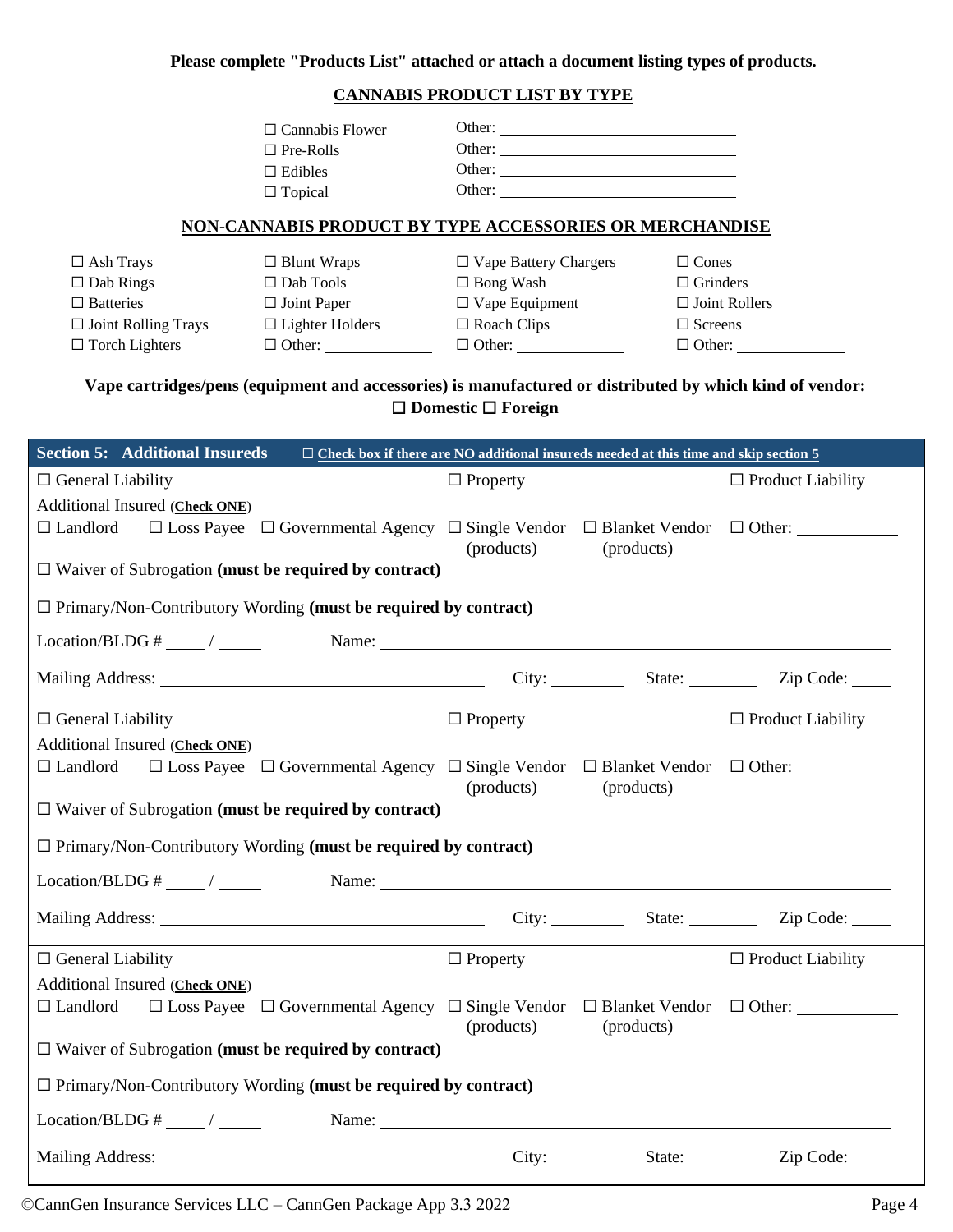**Please complete "Products List" attached or attach a document listing types of products.**

#### **CANNABIS PRODUCT LIST BY TYPE**

| $\Box$ Cannabis Flower | Other: |
|------------------------|--------|
| $\Box$ Pre-Rolls       | Other: |
| $\Box$ Edibles         | Other: |
| $\Box$ Topical         | Other: |

#### **NON-CANNABIS PRODUCT BY TYPE ACCESSORIES OR MERCHANDISE**

| $\Box$ Ash Trays           | $\Box$ Blunt Wraps     | $\Box$ Vape Battery Chargers | $\Box$ Cones         |
|----------------------------|------------------------|------------------------------|----------------------|
| $\Box$ Dab Rings           | $\Box$ Dab Tools       | $\Box$ Bong Wash             | $\Box$ Grinders      |
| $\Box$ Batteries           | $\Box$ Joint Paper     | $\Box$ Vape Equipment        | $\Box$ Joint Rollers |
| $\Box$ Joint Rolling Trays | $\Box$ Lighter Holders | $\Box$ Roach Clips           | $\Box$ Screens       |
| $\Box$ Torch Lighters      | $\Box$ Other:          | $\Box$ Other:                | $\Box$ Other:        |

### **Vape cartridges/pens (equipment and accessories) is manufactured or distributed by which kind of vendor:** ☐ **Domestic** ☐ **Foreign**

| <b>Section 5: Additional Insureds</b> |                                                                        |                 | $\Box$ Check box if there are NO additional insureds needed at this time and skip section 5                                                                                                                                    |                                                                                                       |
|---------------------------------------|------------------------------------------------------------------------|-----------------|--------------------------------------------------------------------------------------------------------------------------------------------------------------------------------------------------------------------------------|-------------------------------------------------------------------------------------------------------|
| $\Box$ General Liability              |                                                                        | $\Box$ Property |                                                                                                                                                                                                                                | $\Box$ Product Liability                                                                              |
| Additional Insured (Check ONE)        |                                                                        |                 |                                                                                                                                                                                                                                |                                                                                                       |
| $\Box$ Landlord                       |                                                                        |                 |                                                                                                                                                                                                                                | $\Box$ Loss Payee $\Box$ Governmental Agency $\Box$ Single Vendor $\Box$ Blanket Vendor $\Box$ Other: |
|                                       | $\Box$ Waiver of Subrogation (must be required by contract)            | (products)      | (products)                                                                                                                                                                                                                     |                                                                                                       |
|                                       |                                                                        |                 |                                                                                                                                                                                                                                |                                                                                                       |
|                                       | $\Box$ Primary/Non-Contributory Wording (must be required by contract) |                 |                                                                                                                                                                                                                                |                                                                                                       |
|                                       | $Location/BLDG #  \longrightarrow Name:$                               |                 |                                                                                                                                                                                                                                |                                                                                                       |
|                                       |                                                                        |                 |                                                                                                                                                                                                                                | City: State: Zip Code:                                                                                |
|                                       |                                                                        |                 |                                                                                                                                                                                                                                |                                                                                                       |
| $\Box$ General Liability              |                                                                        | $\Box$ Property |                                                                                                                                                                                                                                | $\Box$ Product Liability                                                                              |
| Additional Insured (Check ONE)        |                                                                        |                 |                                                                                                                                                                                                                                |                                                                                                       |
| $\Box$ Landlord                       |                                                                        | (products)      | (products)                                                                                                                                                                                                                     | $\Box$ Loss Payee $\Box$ Governmental Agency $\Box$ Single Vendor $\Box$ Blanket Vendor $\Box$ Other: |
|                                       | $\Box$ Waiver of Subrogation (must be required by contract)            |                 |                                                                                                                                                                                                                                |                                                                                                       |
|                                       | $\Box$ Primary/Non-Contributory Wording (must be required by contract) |                 |                                                                                                                                                                                                                                |                                                                                                       |
|                                       | $Location/BLDG #  \sim /  Name:$                                       |                 |                                                                                                                                                                                                                                |                                                                                                       |
|                                       |                                                                        |                 |                                                                                                                                                                                                                                | Mailing Address: <u>City: State:</u> City: State: Zip Code: City: City: City: City: City: Zip Code:   |
| $\Box$ General Liability              |                                                                        | $\Box$ Property |                                                                                                                                                                                                                                | $\Box$ Product Liability                                                                              |
| Additional Insured (Check ONE)        |                                                                        |                 |                                                                                                                                                                                                                                |                                                                                                       |
| $\Box$ Landlord                       |                                                                        | (products)      | (products)                                                                                                                                                                                                                     | $\Box$ Loss Payee $\Box$ Governmental Agency $\Box$ Single Vendor $\Box$ Blanket Vendor $\Box$ Other: |
|                                       | $\Box$ Waiver of Subrogation (must be required by contract)            |                 |                                                                                                                                                                                                                                |                                                                                                       |
|                                       | $\Box$ Primary/Non-Contributory Wording (must be required by contract) |                 |                                                                                                                                                                                                                                |                                                                                                       |
| Location/BLDG # $\_\_\_\/$            |                                                                        |                 | Name: Name and the second state of the second state of the second state of the second state of the second state of the second state of the second state of the second state of the second state of the second state of the sec |                                                                                                       |
|                                       |                                                                        |                 |                                                                                                                                                                                                                                |                                                                                                       |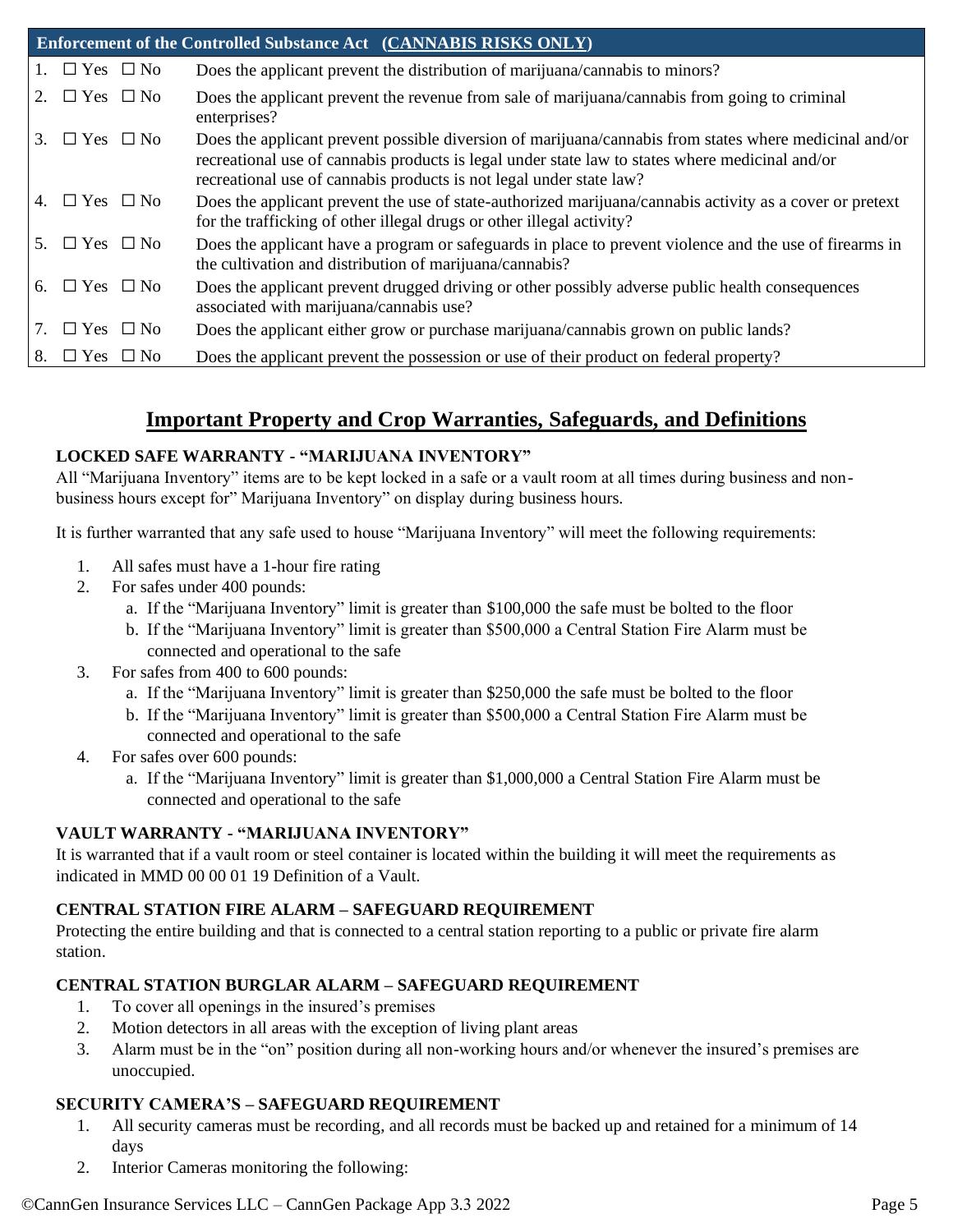|    |                         | Enforcement of the Controlled Substance Act (CANNABIS RISKS ONLY)                                                                                                                                                                                                                |
|----|-------------------------|----------------------------------------------------------------------------------------------------------------------------------------------------------------------------------------------------------------------------------------------------------------------------------|
|    | 1. $\Box$ Yes $\Box$ No | Does the applicant prevent the distribution of marijuana/cannabis to minors?                                                                                                                                                                                                     |
| 2. | $\Box$ Yes $\Box$ No    | Does the applicant prevent the revenue from sale of marijuana/cannabis from going to criminal<br>enterprises?                                                                                                                                                                    |
|    | 3. $\Box$ Yes $\Box$ No | Does the applicant prevent possible diversion of marijuana/cannabis from states where medicinal and/or<br>recreational use of cannabis products is legal under state law to states where medicinal and/or<br>recreational use of cannabis products is not legal under state law? |
|    | 4. $\Box$ Yes $\Box$ No | Does the applicant prevent the use of state-authorized marijuana/cannabis activity as a cover or pretext<br>for the trafficking of other illegal drugs or other illegal activity?                                                                                                |
| 5. | $\Box$ Yes $\Box$ No    | Does the applicant have a program or safeguards in place to prevent violence and the use of firearms in<br>the cultivation and distribution of marijuana/cannabis?                                                                                                               |
|    | 6. $\Box$ Yes $\Box$ No | Does the applicant prevent drugged driving or other possibly adverse public health consequences<br>associated with marijuana/cannabis use?                                                                                                                                       |
| 7. | $\Box$ Yes $\Box$ No    | Does the applicant either grow or purchase marijuana/cannabis grown on public lands?                                                                                                                                                                                             |
| 8. | $\Box$ Yes $\Box$ No    | Does the applicant prevent the possession or use of their product on federal property?                                                                                                                                                                                           |

# **Important Property and Crop Warranties, Safeguards, and Definitions**

#### **LOCKED SAFE WARRANTY - "MARIJUANA INVENTORY"**

All "Marijuana Inventory" items are to be kept locked in a safe or a vault room at all times during business and nonbusiness hours except for" Marijuana Inventory" on display during business hours.

It is further warranted that any safe used to house "Marijuana Inventory" will meet the following requirements:

- 1. All safes must have a 1-hour fire rating
- 2. For safes under 400 pounds:
	- a. If the "Marijuana Inventory" limit is greater than \$100,000 the safe must be bolted to the floor
	- b. If the "Marijuana Inventory" limit is greater than \$500,000 a Central Station Fire Alarm must be connected and operational to the safe
- 3. For safes from 400 to 600 pounds:
	- a. If the "Marijuana Inventory" limit is greater than \$250,000 the safe must be bolted to the floor
	- b. If the "Marijuana Inventory" limit is greater than \$500,000 a Central Station Fire Alarm must be connected and operational to the safe
- 4. For safes over 600 pounds:
	- a. If the "Marijuana Inventory" limit is greater than \$1,000,000 a Central Station Fire Alarm must be connected and operational to the safe

#### **VAULT WARRANTY - "MARIJUANA INVENTORY"**

It is warranted that if a vault room or steel container is located within the building it will meet the requirements as indicated in MMD 00 00 01 19 Definition of a Vault.

#### **CENTRAL STATION FIRE ALARM – SAFEGUARD REQUIREMENT**

Protecting the entire building and that is connected to a central station reporting to a public or private fire alarm station.

#### **CENTRAL STATION BURGLAR ALARM – SAFEGUARD REQUIREMENT**

- 1. To cover all openings in the insured's premises
- 2. Motion detectors in all areas with the exception of living plant areas
- 3. Alarm must be in the "on" position during all non-working hours and/or whenever the insured's premises are unoccupied.

#### **SECURITY CAMERA'S – SAFEGUARD REQUIREMENT**

- 1. All security cameras must be recording, and all records must be backed up and retained for a minimum of 14 days
- 2. Interior Cameras monitoring the following: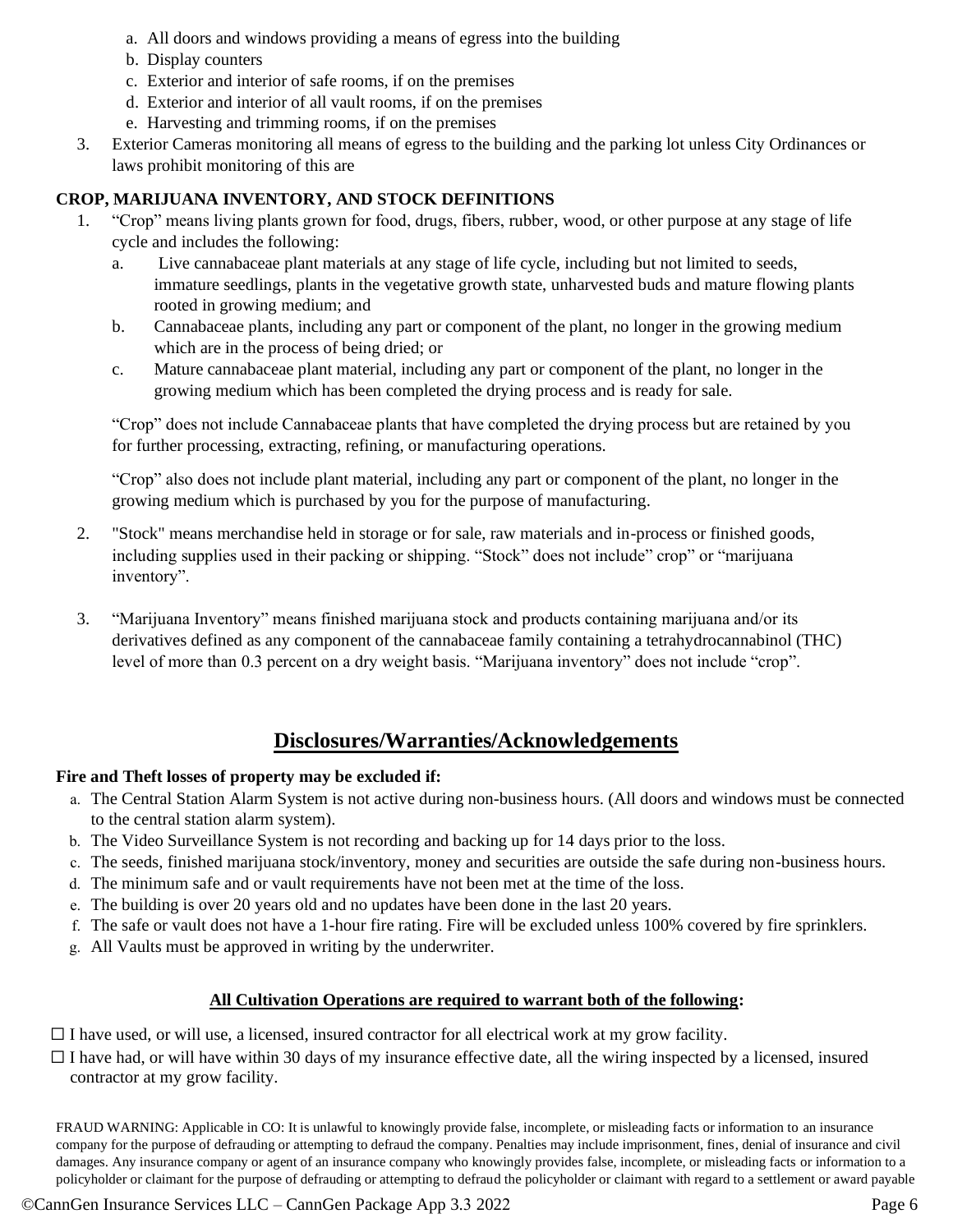- a. All doors and windows providing a means of egress into the building
- b. Display counters
- c. Exterior and interior of safe rooms, if on the premises
- d. Exterior and interior of all vault rooms, if on the premises
- e. Harvesting and trimming rooms, if on the premises
- 3. Exterior Cameras monitoring all means of egress to the building and the parking lot unless City Ordinances or laws prohibit monitoring of this are

#### **CROP, MARIJUANA INVENTORY, AND STOCK DEFINITIONS**

- 1. "Crop" means living plants grown for food, drugs, fibers, rubber, wood, or other purpose at any stage of life cycle and includes the following:
	- a. Live cannabaceae plant materials at any stage of life cycle, including but not limited to seeds, immature seedlings, plants in the vegetative growth state, unharvested buds and mature flowing plants rooted in growing medium; and
	- b. Cannabaceae plants, including any part or component of the plant, no longer in the growing medium which are in the process of being dried; or
	- c. Mature cannabaceae plant material, including any part or component of the plant, no longer in the growing medium which has been completed the drying process and is ready for sale.

"Crop" does not include Cannabaceae plants that have completed the drying process but are retained by you for further processing, extracting, refining, or manufacturing operations.

"Crop" also does not include plant material, including any part or component of the plant, no longer in the growing medium which is purchased by you for the purpose of manufacturing.

- 2. "Stock" means merchandise held in storage or for sale, raw materials and in-process or finished goods, including supplies used in their packing or shipping. "Stock" does not include" crop" or "marijuana inventory".
- 3. "Marijuana Inventory" means finished marijuana stock and products containing marijuana and/or its derivatives defined as any component of the cannabaceae family containing a tetrahydrocannabinol (THC) level of more than 0.3 percent on a dry weight basis. "Marijuana inventory" does not include "crop".

## **Disclosures/Warranties/Acknowledgements**

#### **Fire and Theft losses of property may be excluded if:**

- a. The Central Station Alarm System is not active during non-business hours. (All doors and windows must be connected to the central station alarm system).
- b. The Video Surveillance System is not recording and backing up for 14 days prior to the loss.
- c. The seeds, finished marijuana stock/inventory, money and securities are outside the safe during non-business hours.
- d. The minimum safe and or vault requirements have not been met at the time of the loss.
- e. The building is over 20 years old and no updates have been done in the last 20 years.
- f. The safe or vault does not have a 1-hour fire rating. Fire will be excluded unless 100% covered by fire sprinklers.
- g. All Vaults must be approved in writing by the underwriter.

#### **All Cultivation Operations are required to warrant both of the following:**

 $\Box$  I have used, or will use, a licensed, insured contractor for all electrical work at my grow facility.

 $\Box$  I have had, or will have within 30 days of my insurance effective date, all the wiring inspected by a licensed, insured contractor at my grow facility.

FRAUD WARNING: Applicable in CO: It is unlawful to knowingly provide false, incomplete, or misleading facts or information to an insurance company for the purpose of defrauding or attempting to defraud the company. Penalties may include imprisonment, fines, denial of insurance and civil damages. Any insurance company or agent of an insurance company who knowingly provides false, incomplete, or misleading facts or information to a policyholder or claimant for the purpose of defrauding or attempting to defraud the policyholder or claimant with regard to a settlement or award payable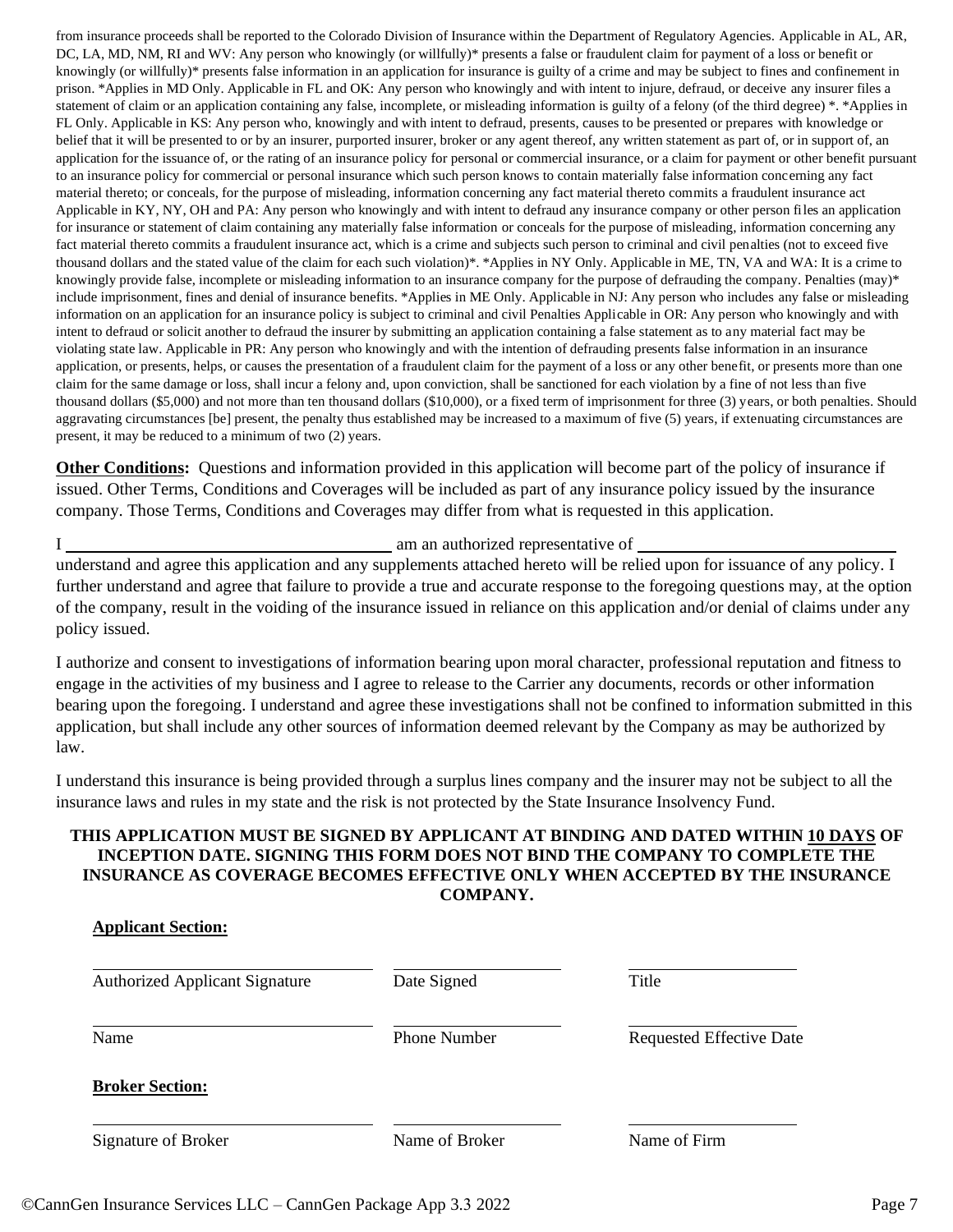from insurance proceeds shall be reported to the Colorado Division of Insurance within the Department of Regulatory Agencies. Applicable in AL, AR, DC, LA, MD, NM, RI and WV: Any person who knowingly (or willfully)\* presents a false or fraudulent claim for payment of a loss or benefit or knowingly (or willfully)\* presents false information in an application for insurance is guilty of a crime and may be subject to fines and confinement in prison. \*Applies in MD Only. Applicable in FL and OK: Any person who knowingly and with intent to injure, defraud, or deceive any insurer files a statement of claim or an application containing any false, incomplete, or misleading information is guilty of a felony (of the third degree) \*. \*Applies in FL Only. Applicable in KS: Any person who, knowingly and with intent to defraud, presents, causes to be presented or prepares with knowledge or belief that it will be presented to or by an insurer, purported insurer, broker or any agent thereof, any written statement as part of, or in support of, an application for the issuance of, or the rating of an insurance policy for personal or commercial insurance, or a claim for payment or other benefit pursuant to an insurance policy for commercial or personal insurance which such person knows to contain materially false information concerning any fact material thereto; or conceals, for the purpose of misleading, information concerning any fact material thereto commits a fraudulent insurance act Applicable in KY, NY, OH and PA: Any person who knowingly and with intent to defraud any insurance company or other person files an application for insurance or statement of claim containing any materially false information or conceals for the purpose of misleading, information concerning any fact material thereto commits a fraudulent insurance act, which is a crime and subjects such person to criminal and civil penalties (not to exceed five thousand dollars and the stated value of the claim for each such violation)\*. \*Applies in NY Only. Applicable in ME, TN, VA and WA: It is a crime to knowingly provide false, incomplete or misleading information to an insurance company for the purpose of defrauding the company. Penalties (may)\* include imprisonment, fines and denial of insurance benefits. \*Applies in ME Only. Applicable in NJ: Any person who includes any false or misleading information on an application for an insurance policy is subject to criminal and civil Penalties Applicable in OR: Any person who knowingly and with intent to defraud or solicit another to defraud the insurer by submitting an application containing a false statement as to any material fact may be violating state law. Applicable in PR: Any person who knowingly and with the intention of defrauding presents false information in an insurance application, or presents, helps, or causes the presentation of a fraudulent claim for the payment of a loss or any other benefit, or presents more than one claim for the same damage or loss, shall incur a felony and, upon conviction, shall be sanctioned for each violation by a fine of not less than five thousand dollars (\$5,000) and not more than ten thousand dollars (\$10,000), or a fixed term of imprisonment for three (3) years, or both penalties. Should aggravating circumstances [be] present, the penalty thus established may be increased to a maximum of five (5) years, if extenuating circumstances are present, it may be reduced to a minimum of two (2) years.

**Other Conditions:** Questions and information provided in this application will become part of the policy of insurance if issued. Other Terms, Conditions and Coverages will be included as part of any insurance policy issued by the insurance company. Those Terms, Conditions and Coverages may differ from what is requested in this application.

I **am an authorized representative of am** an authorized representative of **and** 

understand and agree this application and any supplements attached hereto will be relied upon for issuance of any policy. I further understand and agree that failure to provide a true and accurate response to the foregoing questions may, at the option of the company, result in the voiding of the insurance issued in reliance on this application and/or denial of claims under any policy issued.

I authorize and consent to investigations of information bearing upon moral character, professional reputation and fitness to engage in the activities of my business and I agree to release to the Carrier any documents, records or other information bearing upon the foregoing. I understand and agree these investigations shall not be confined to information submitted in this application, but shall include any other sources of information deemed relevant by the Company as may be authorized by law.

I understand this insurance is being provided through a surplus lines company and the insurer may not be subject to all the insurance laws and rules in my state and the risk is not protected by the State Insurance Insolvency Fund.

#### **THIS APPLICATION MUST BE SIGNED BY APPLICANT AT BINDING AND DATED WITHIN 10 DAYS OF INCEPTION DATE. SIGNING THIS FORM DOES NOT BIND THE COMPANY TO COMPLETE THE INSURANCE AS COVERAGE BECOMES EFFECTIVE ONLY WHEN ACCEPTED BY THE INSURANCE COMPANY.**

| <b>Authorized Applicant Signature</b> | Date Signed         | Title                           |
|---------------------------------------|---------------------|---------------------------------|
| Name                                  | <b>Phone Number</b> | <b>Requested Effective Date</b> |
| <b>Broker Section:</b>                |                     |                                 |
| Signature of Broker                   | Name of Broker      | Name of Firm                    |